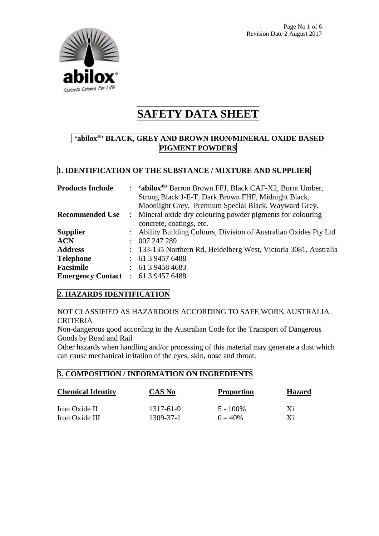

### **'abilox®' BLACK, GREY AND BROWN IRON/MINERAL OXIDE BASED PIGMENT POWDERS**

#### **1. IDENTIFICATION OF THE SUBSTANCE / MIXTURE AND SUPPLIER**

| <b>Products Include</b>                   | : 'abilox®' Barron Brown FFJ, Black CAF-X2, Burnt Umber,          |  |  |
|-------------------------------------------|-------------------------------------------------------------------|--|--|
|                                           | Strong Black J-E-T, Dark Brown FHF, Midnight Black,               |  |  |
|                                           | Moonlight Grey, Premium Special Black, Wayward Grey.              |  |  |
| <b>Recommended Use</b>                    | : Mineral oxide dry colouring powder pigments for colouring       |  |  |
|                                           | concrete, coatings, etc.                                          |  |  |
| <b>Supplier</b>                           | : Ability Building Colours, Division of Australian Oxides Pty Ltd |  |  |
| <b>ACN</b>                                | : 007247289                                                       |  |  |
| <b>Address</b>                            | : 133-135 Northern Rd, Heidelberg West, Victoria 3081, Australia  |  |  |
| <b>Telephone</b>                          | $\therefore$ 61 3 9457 6488                                       |  |  |
| <b>Facsimile</b>                          | $\therefore$ 61 3 9458 4683                                       |  |  |
| <b>Emergency Contact</b> : 61 3 9457 6488 |                                                                   |  |  |

#### **2. HAZARDS IDENTIFICATION**

#### NOT CLASSIFIED AS HAZARDOUS ACCORDING TO SAFE WORK AUSTRALIA CRITERIA

Non-dangerous good according to the Australian Code for the Transport of Dangerous Goods by Road and Rail

Other hazards when handling and/or processing of this material may generate a dust which can cause mechanical irritation of the eyes, skin, nose and throat.

#### **3. COMPOSITION / INFORMATION ON INGREDIENTS**

| <b>Chemical Identity</b> | <b>CAS No</b> | <b>Proportion</b> | <b>Hazard</b> |
|--------------------------|---------------|-------------------|---------------|
| Iron Oxide II            | 1317-61-9     | $5 - 100\%$       | Xi            |
| Iron Oxide III           | 1309-37-1     | $0 - 40\%$        | Xi            |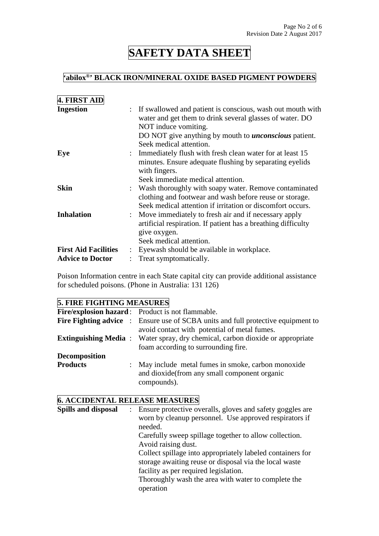### **'abilox®' BLACK IRON/MINERAL OXIDE BASED PIGMENT POWDERS**

| 4. FIRST AID                |                                                                                                                                                                                                                                             |
|-----------------------------|---------------------------------------------------------------------------------------------------------------------------------------------------------------------------------------------------------------------------------------------|
| <b>Ingestion</b>            | : If swallowed and patient is conscious, wash out mouth with<br>water and get them to drink several glasses of water. DO<br>NOT induce vomiting.<br>DO NOT give anything by mouth to <i>unconscious</i> patient.<br>Seek medical attention. |
| Eye                         | : Immediately flush with fresh clean water for at least 15<br>minutes. Ensure adequate flushing by separating eyelids<br>with fingers.<br>Seek immediate medical attention.                                                                 |
| <b>Skin</b>                 | : Wash thoroughly with soapy water. Remove contaminated<br>clothing and footwear and wash before reuse or storage.<br>Seek medical attention if irritation or discomfort occurs.                                                            |
| <b>Inhalation</b>           | : Move immediately to fresh air and if necessary apply<br>artificial respiration. If patient has a breathing difficulty<br>give oxygen.<br>Seek medical attention.                                                                          |
| <b>First Aid Facilities</b> | Eyewash should be available in workplace.                                                                                                                                                                                                   |
| <b>Advice to Doctor</b>     | Treat symptomatically.                                                                                                                                                                                                                      |

Poison Information centre in each State capital city can provide additional assistance for scheduled poisons. (Phone in Australia: 131 126)

#### **5. FIRE FIGHTING MEASURES**

|                      |  | Fire/explosion hazard: Product is not flammable.                                                                                        |  |  |  |
|----------------------|--|-----------------------------------------------------------------------------------------------------------------------------------------|--|--|--|
|                      |  | <b>Fire Fighting advice</b> : Ensure use of SCBA units and full protective equipment to<br>avoid contact with potential of metal fumes. |  |  |  |
|                      |  | <b>Extinguishing Media:</b> Water spray, dry chemical, carbon dioxide or appropriate<br>foam according to surrounding fire.             |  |  |  |
| <b>Decomposition</b> |  |                                                                                                                                         |  |  |  |
| <b>Products</b>      |  | : May include metal fumes in smoke, carbon monoxide<br>and dioxide (from any small component organic<br>compounds).                     |  |  |  |

### **6. ACCIDENTAL RELEASE MEASURES**

| <b>Spills and disposal</b> | : Ensure protective overalls, gloves and safety goggles are |
|----------------------------|-------------------------------------------------------------|
|                            | worn by cleanup personnel. Use approved respirators if      |
|                            | needed.                                                     |
|                            | Carefully sweep spillage together to allow collection.      |
|                            | Avoid raising dust.                                         |
|                            | Collect spillage into appropriately labeled containers for  |
|                            | storage awaiting reuse or disposal via the local waste      |
|                            | facility as per required legislation.                       |
|                            | Thoroughly wash the area with water to complete the         |
|                            | operation                                                   |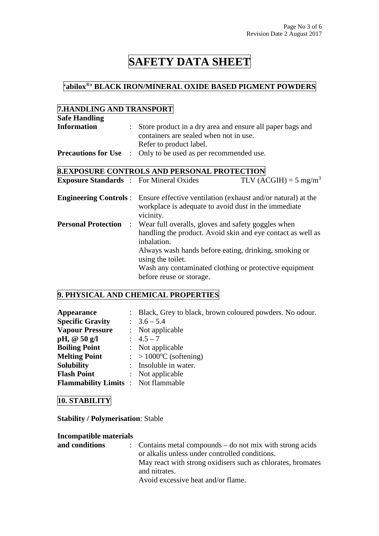## **'abilox®' BLACK IRON/MINERAL OXIDE BASED PIGMENT POWDERS**

#### **7.HANDLING AND TRANSPORT**

| <b>Safe Handling</b>                           |                           |                                                                                                                                                                                                                                                                            |                                                                                                                                                    |  |  |
|------------------------------------------------|---------------------------|----------------------------------------------------------------------------------------------------------------------------------------------------------------------------------------------------------------------------------------------------------------------------|----------------------------------------------------------------------------------------------------------------------------------------------------|--|--|
| <b>Information</b>                             | $\mathbb{Z}^{\mathbb{Z}}$ | Store product in a dry area and ensure all paper bags and<br>containers are sealed when not in use.                                                                                                                                                                        |                                                                                                                                                    |  |  |
|                                                |                           | Refer to product label.                                                                                                                                                                                                                                                    |                                                                                                                                                    |  |  |
| <b>Precautions for Use</b>                     | $\mathbb{R}^{\mathbb{Z}}$ | Only to be used as per recommended use.                                                                                                                                                                                                                                    |                                                                                                                                                    |  |  |
|                                                |                           | <b>8.EXPOSURE CONTROLS AND PERSONAL PROTECTION</b>                                                                                                                                                                                                                         |                                                                                                                                                    |  |  |
| <b>Exposure Standards : For Mineral Oxides</b> |                           |                                                                                                                                                                                                                                                                            | TLV (ACGIH) = $5 \text{ mg/m}^3$                                                                                                                   |  |  |
|                                                |                           | vicinity.                                                                                                                                                                                                                                                                  | <b>Engineering Controls</b> : Ensure effective ventilation (exhaust and/or natural) at the<br>workplace is adequate to avoid dust in the immediate |  |  |
| <b>Personal Protection</b>                     |                           | : Wear full overalls, gloves and safety goggles when<br>handling the product. Avoid skin and eye contact as well as<br>inhalation.<br>Always wash hands before eating, drinking, smoking or<br>using the toilet.<br>Wash any contaminated clothing or protective equipment |                                                                                                                                                    |  |  |
|                                                |                           | before reuse or storage.                                                                                                                                                                                                                                                   |                                                                                                                                                    |  |  |

### **9. PHYSICAL AND CHEMICAL PROPERTIES**

| Appearance                                | : Black, Grey to black, brown coloured powders. No odour. |
|-------------------------------------------|-----------------------------------------------------------|
| <b>Specific Gravity</b>                   | $\therefore$ 3.6 – 5.4                                    |
| <b>Vapour Pressure</b>                    | $:$ Not applicable                                        |
| pH, @ 50 g/l                              | $\therefore$ 4.5 – 7                                      |
| <b>Boiling Point</b>                      | : Not applicable                                          |
| <b>Melting Point</b>                      | $\therefore$ > 1000°C (softening)                         |
| <b>Solubility</b>                         | : Insoluble in water.                                     |
| <b>Flash Point</b>                        | $:$ Not applicable                                        |
| <b>Flammability Limits:</b> Not flammable |                                                           |

#### **10. STABILITY**

**Stability / Polymerisation**: Stable

| <b>Incompatible materials</b> |  |  |  |
|-------------------------------|--|--|--|
|-------------------------------|--|--|--|

| and conditions | $\therefore$ Contains metal compounds – do not mix with strong acids |
|----------------|----------------------------------------------------------------------|
|                | or alkalis unless under controlled conditions.                       |
|                | May react with strong oxidisers such as chlorates, bromates          |
|                | and nitrates.                                                        |
|                | Avoid excessive heat and/or flame.                                   |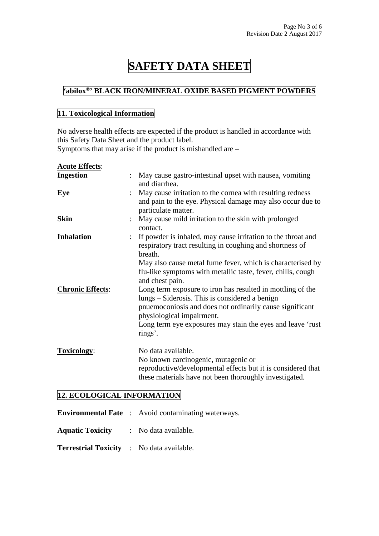### **'abilox®' BLACK IRON/MINERAL OXIDE BASED PIGMENT POWDERS**

#### **11. Toxicological Information**

No adverse health effects are expected if the product is handled in accordance with this Safety Data Sheet and the product label.

Symptoms that may arise if the product is mishandled are –

| <b>Acute Effects:</b>   |                                                                                                                                                                                                                                                                                     |
|-------------------------|-------------------------------------------------------------------------------------------------------------------------------------------------------------------------------------------------------------------------------------------------------------------------------------|
| <b>Ingestion</b>        | May cause gastro-intestinal upset with nausea, vomiting<br>and diarrhea.                                                                                                                                                                                                            |
| Eye                     | May cause irritation to the cornea with resulting redness<br>and pain to the eye. Physical damage may also occur due to<br>particulate matter.                                                                                                                                      |
| <b>Skin</b>             | May cause mild irritation to the skin with prolonged<br>contact.                                                                                                                                                                                                                    |
| <b>Inhalation</b>       | If powder is inhaled, may cause irritation to the throat and<br>respiratory tract resulting in coughing and shortness of<br>breath.<br>May also cause metal fume fever, which is characterised by<br>flu-like symptoms with metallic taste, fever, chills, cough<br>and chest pain. |
| <b>Chronic Effects:</b> | Long term exposure to iron has resulted in mottling of the<br>lungs – Siderosis. This is considered a benign<br>pnue moconiosis and does not ordinarily cause significant<br>physiological impairment.<br>Long term eye exposures may stain the eyes and leave 'rust<br>rings'.     |
| <b>Toxicology:</b>      | No data available.<br>No known carcinogenic, mutagenic or<br>reproductive/developmental effects but it is considered that<br>these materials have not been thoroughly investigated.                                                                                                 |

#### **12. ECOLOGICAL INFORMATION**

|                                                  |  | <b>Environmental Fate</b> : Avoid contaminating waterways. |  |  |
|--------------------------------------------------|--|------------------------------------------------------------|--|--|
| <b>Aquatic Toxicity</b> : No data available.     |  |                                                            |  |  |
| <b>Terrestrial Toxicity</b> : No data available. |  |                                                            |  |  |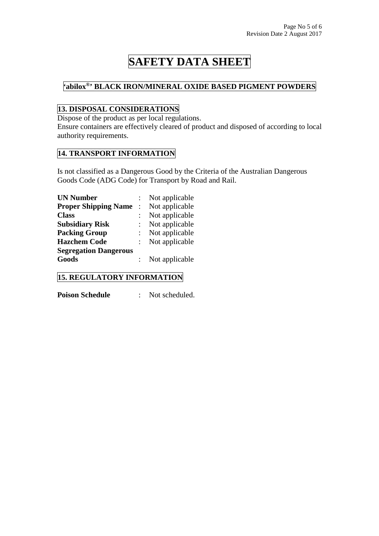#### **'abilox®' BLACK IRON/MINERAL OXIDE BASED PIGMENT POWDERS**

### **13. DISPOSAL CONSIDERATIONS**

Dispose of the product as per local regulations.

Ensure containers are effectively cleared of product and disposed of according to local authority requirements.

#### **14. TRANSPORT INFORMATION**

Is not classified as a Dangerous Good by the Criteria of the Australian Dangerous Goods Code (ADG Code) for Transport by Road and Rail.

| <b>UN Number</b>             | Not applicable |
|------------------------------|----------------|
| <b>Proper Shipping Name</b>  | Not applicable |
| <b>Class</b>                 | Not applicable |
| <b>Subsidiary Risk</b>       | Not applicable |
| <b>Packing Group</b>         | Not applicable |
| <b>Hazchem Code</b>          | Not applicable |
| <b>Segregation Dangerous</b> |                |
| Goods                        | Not applicable |

#### **15. REGULATORY INFORMATION**

**Poison Schedule** : Not scheduled.